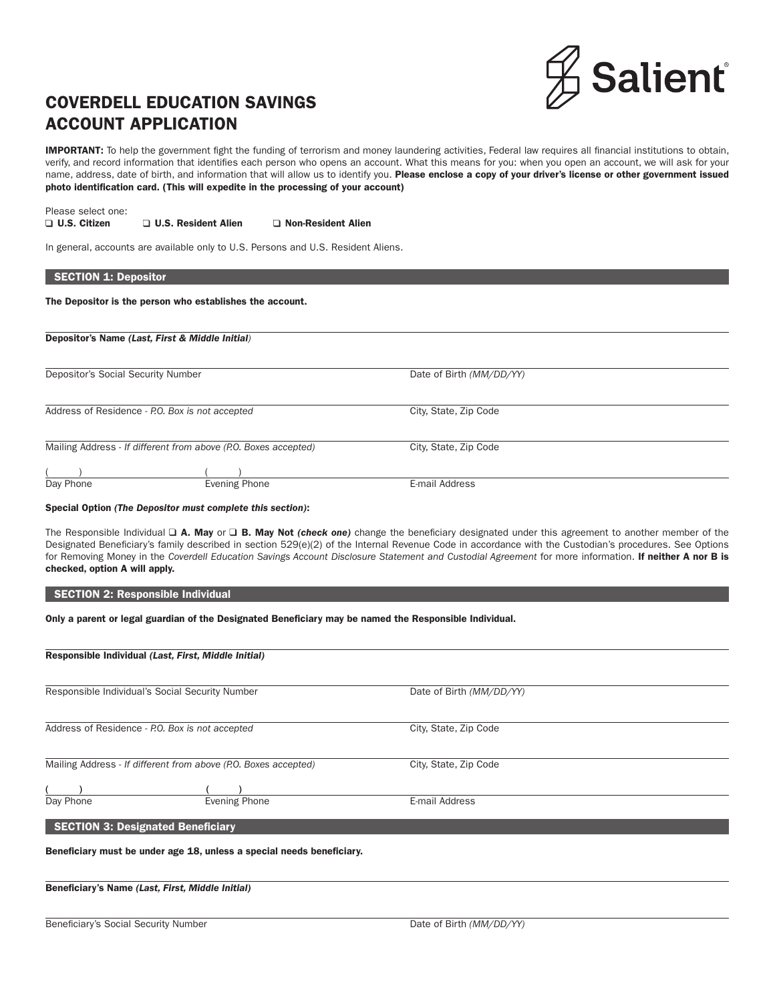

# COVERDELL EDUCATION SAVINGS ACCOUNT APPLICATION

IMPORTANT: To help the government fight the funding of terrorism and money laundering activities, Federal law requires all financial institutions to obtain, verify, and record information that identifies each person who opens an account. What this means for you: when you open an account, we will ask for your name, address, date of birth, and information that will allow us to identify you. Please enclose a copy of your driver's license or other government issued photo identification card. (This will expedite in the processing of your account)

Please select one: □ U.S. Citizen □ U.S. Resident Alien □ Non-Resident Alien

In general, accounts are available only to U.S. Persons and U.S. Resident Aliens.

The Depositor is the person who establishes the account.

Depositor's Name *(Last, First & Middle Initial)*

| Depositor's Social Security Number                              |               | Date of Birth (MM/DD/YY) |  |
|-----------------------------------------------------------------|---------------|--------------------------|--|
|                                                                 |               |                          |  |
| Address of Residence - P.O. Box is not accepted                 |               | City, State, Zip Code    |  |
|                                                                 |               |                          |  |
| Mailing Address - If different from above (P.O. Boxes accepted) |               | City, State, Zip Code    |  |
|                                                                 |               |                          |  |
| Day Phone                                                       | Evening Phone | E-mail Address           |  |

#### Special Option *(The Depositor must complete this section)*:

The Responsible Individual □ A. May or □ B. May Not *(check one)* change the beneficiary designated under this agreement to another member of the Designated Beneficiary's family described in section 529(e)(2) of the Internal Revenue Code in accordance with the Custodian's procedures. See Options for Removing Money in the Coverdell Education Savings Account Disclosure Statement and Custodial Agreement for more information. If neither A nor B is checked, option A will apply.

#### SECTION 2: Responsible Individual

Only a parent or legal guardian of the Designated Beneficiary may be named the Responsible Individual.

| Responsible Individual (Last, First, Middle Initial)            |                                                                       |                          |  |  |  |  |  |
|-----------------------------------------------------------------|-----------------------------------------------------------------------|--------------------------|--|--|--|--|--|
| Responsible Individual's Social Security Number                 |                                                                       | Date of Birth (MM/DD/YY) |  |  |  |  |  |
|                                                                 | Address of Residence - P.O. Box is not accepted                       | City, State, Zip Code    |  |  |  |  |  |
| Mailing Address - If different from above (P.O. Boxes accepted) |                                                                       | City, State, Zip Code    |  |  |  |  |  |
|                                                                 |                                                                       |                          |  |  |  |  |  |
| Day Phone                                                       | <b>Evening Phone</b>                                                  | E-mail Address           |  |  |  |  |  |
| <b>SECTION 3: Designated Beneficiary</b>                        |                                                                       |                          |  |  |  |  |  |
|                                                                 | Beneficiary must be under age 18, unless a special needs beneficiary. |                          |  |  |  |  |  |

Beneficiary's Name *(Last, First, Middle Initial)*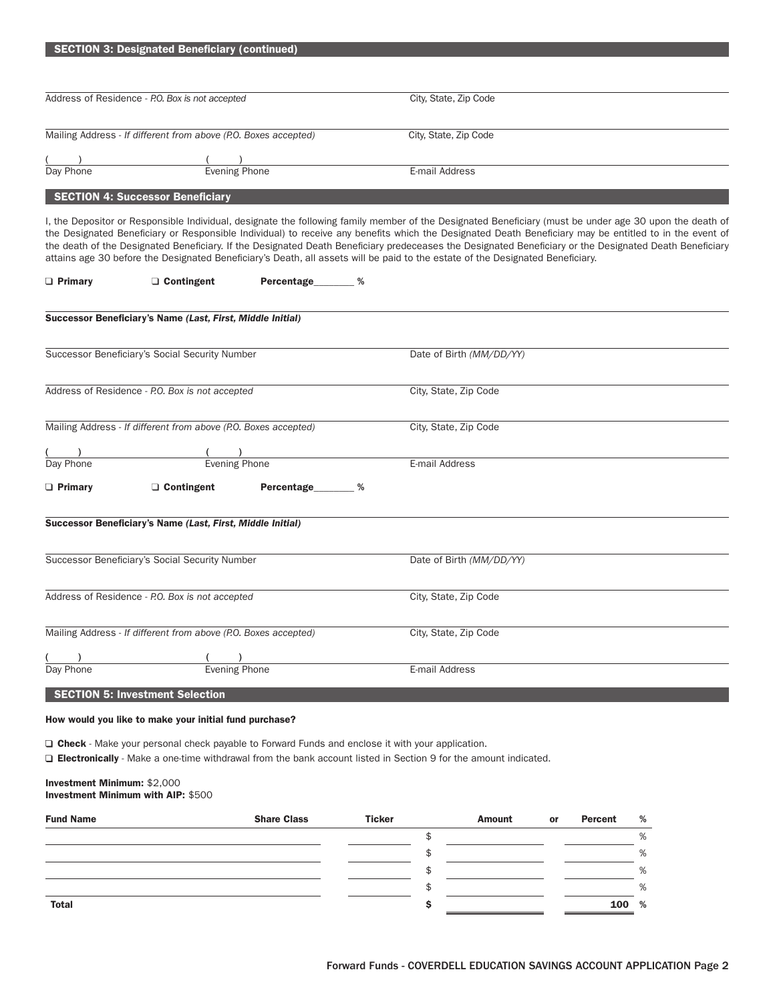|                                                                          | <b>SECTION 3: Designated Beneficiary (continued)</b>                                                                                                                                                                                                                                                                                                                                                                                                                                                                                                                                                            |                     |                          |        |    |                |        |  |
|--------------------------------------------------------------------------|-----------------------------------------------------------------------------------------------------------------------------------------------------------------------------------------------------------------------------------------------------------------------------------------------------------------------------------------------------------------------------------------------------------------------------------------------------------------------------------------------------------------------------------------------------------------------------------------------------------------|---------------------|--------------------------|--------|----|----------------|--------|--|
|                                                                          |                                                                                                                                                                                                                                                                                                                                                                                                                                                                                                                                                                                                                 |                     |                          |        |    |                |        |  |
|                                                                          | Address of Residence - P.O. Box is not accepted                                                                                                                                                                                                                                                                                                                                                                                                                                                                                                                                                                 |                     | City, State, Zip Code    |        |    |                |        |  |
|                                                                          |                                                                                                                                                                                                                                                                                                                                                                                                                                                                                                                                                                                                                 |                     |                          |        |    |                |        |  |
|                                                                          | Mailing Address - If different from above (P.O. Boxes accepted)                                                                                                                                                                                                                                                                                                                                                                                                                                                                                                                                                 |                     | City, State, Zip Code    |        |    |                |        |  |
|                                                                          |                                                                                                                                                                                                                                                                                                                                                                                                                                                                                                                                                                                                                 |                     |                          |        |    |                |        |  |
| $\frac{() }{$ Day Phone                                                  | Evening Phone                                                                                                                                                                                                                                                                                                                                                                                                                                                                                                                                                                                                   |                     | E-mail Address           |        |    |                |        |  |
|                                                                          | <b>SECTION 4: Successor Beneficiary</b>                                                                                                                                                                                                                                                                                                                                                                                                                                                                                                                                                                         |                     |                          |        |    |                |        |  |
|                                                                          | I, the Depositor or Responsible Individual, designate the following family member of the Designated Beneficiary (must be under age 30 upon the death of<br>the Designated Beneficiary or Responsible Individual) to receive any benefits which the Designated Death Beneficiary may be entitled to in the event of<br>the death of the Designated Beneficiary. If the Designated Death Beneficiary predeceases the Designated Beneficiary or the Designated Death Beneficiary<br>attains age 30 before the Designated Beneficiary's Death, all assets will be paid to the estate of the Designated Beneficiary. |                     |                          |        |    |                |        |  |
| $\Box$ Primary                                                           | $\Box$ Contingent                                                                                                                                                                                                                                                                                                                                                                                                                                                                                                                                                                                               | Percentage_______ % |                          |        |    |                |        |  |
|                                                                          | Successor Beneficiary's Name (Last, First, Middle Initial)                                                                                                                                                                                                                                                                                                                                                                                                                                                                                                                                                      |                     |                          |        |    |                |        |  |
|                                                                          | Successor Beneficiary's Social Security Number                                                                                                                                                                                                                                                                                                                                                                                                                                                                                                                                                                  |                     | Date of Birth (MM/DD/YY) |        |    |                |        |  |
|                                                                          |                                                                                                                                                                                                                                                                                                                                                                                                                                                                                                                                                                                                                 |                     |                          |        |    |                |        |  |
|                                                                          | Address of Residence - P.O. Box is not accepted                                                                                                                                                                                                                                                                                                                                                                                                                                                                                                                                                                 |                     | City, State, Zip Code    |        |    |                |        |  |
|                                                                          | Mailing Address - If different from above (P.O. Boxes accepted)                                                                                                                                                                                                                                                                                                                                                                                                                                                                                                                                                 |                     | City, State, Zip Code    |        |    |                |        |  |
| $\frac{()}{$ Day Phone                                                   | (Called the Evening Phone                                                                                                                                                                                                                                                                                                                                                                                                                                                                                                                                                                                       |                     |                          |        |    |                |        |  |
|                                                                          |                                                                                                                                                                                                                                                                                                                                                                                                                                                                                                                                                                                                                 |                     | E-mail Address           |        |    |                |        |  |
| $\Box$ Primary                                                           | $\Box$ Contingent                                                                                                                                                                                                                                                                                                                                                                                                                                                                                                                                                                                               | Percentage_______ % |                          |        |    |                |        |  |
|                                                                          | Successor Beneficiary's Name (Last, First, Middle Initial)                                                                                                                                                                                                                                                                                                                                                                                                                                                                                                                                                      |                     |                          |        |    |                |        |  |
|                                                                          |                                                                                                                                                                                                                                                                                                                                                                                                                                                                                                                                                                                                                 |                     |                          |        |    |                |        |  |
|                                                                          | Successor Beneficiary's Social Security Number                                                                                                                                                                                                                                                                                                                                                                                                                                                                                                                                                                  |                     | Date of Birth (MM/DD/YY) |        |    |                |        |  |
|                                                                          |                                                                                                                                                                                                                                                                                                                                                                                                                                                                                                                                                                                                                 |                     |                          |        |    |                |        |  |
|                                                                          | Address of Residence - P.O. Box is not accepted                                                                                                                                                                                                                                                                                                                                                                                                                                                                                                                                                                 |                     | City, State, Zip Code    |        |    |                |        |  |
|                                                                          | Mailing Address - If different from above (P.O. Boxes accepted)                                                                                                                                                                                                                                                                                                                                                                                                                                                                                                                                                 |                     | City, State, Zip Code    |        |    |                |        |  |
|                                                                          |                                                                                                                                                                                                                                                                                                                                                                                                                                                                                                                                                                                                                 |                     |                          |        |    |                |        |  |
| Day Phone                                                                | <b>Evening Phone</b>                                                                                                                                                                                                                                                                                                                                                                                                                                                                                                                                                                                            |                     | E-mail Address           |        |    |                |        |  |
|                                                                          | <b>SECTION 5: Investment Selection</b>                                                                                                                                                                                                                                                                                                                                                                                                                                                                                                                                                                          |                     |                          |        |    |                |        |  |
|                                                                          | How would you like to make your initial fund purchase?                                                                                                                                                                                                                                                                                                                                                                                                                                                                                                                                                          |                     |                          |        |    |                |        |  |
|                                                                          | $\Box$ Check - Make your personal check payable to Forward Funds and enclose it with your application.                                                                                                                                                                                                                                                                                                                                                                                                                                                                                                          |                     |                          |        |    |                |        |  |
|                                                                          | $\Box$ Electronically - Make a one-time withdrawal from the bank account listed in Section 9 for the amount indicated.                                                                                                                                                                                                                                                                                                                                                                                                                                                                                          |                     |                          |        |    |                |        |  |
| Investment Minimum: \$2,000<br><b>Investment Minimum with AIP: \$500</b> |                                                                                                                                                                                                                                                                                                                                                                                                                                                                                                                                                                                                                 |                     |                          |        |    |                |        |  |
| <b>Fund Name</b>                                                         | <b>Share Class</b>                                                                                                                                                                                                                                                                                                                                                                                                                                                                                                                                                                                              | <b>Ticker</b>       |                          | Amount | or | <b>Percent</b> | %      |  |
|                                                                          |                                                                                                                                                                                                                                                                                                                                                                                                                                                                                                                                                                                                                 |                     | \$                       |        |    |                | %      |  |
|                                                                          |                                                                                                                                                                                                                                                                                                                                                                                                                                                                                                                                                                                                                 |                     | \$                       |        |    |                | %      |  |
|                                                                          |                                                                                                                                                                                                                                                                                                                                                                                                                                                                                                                                                                                                                 |                     | \$<br>\$                 |        |    |                | %<br>% |  |
| Total                                                                    |                                                                                                                                                                                                                                                                                                                                                                                                                                                                                                                                                                                                                 |                     | \$                       |        |    | 100            | %      |  |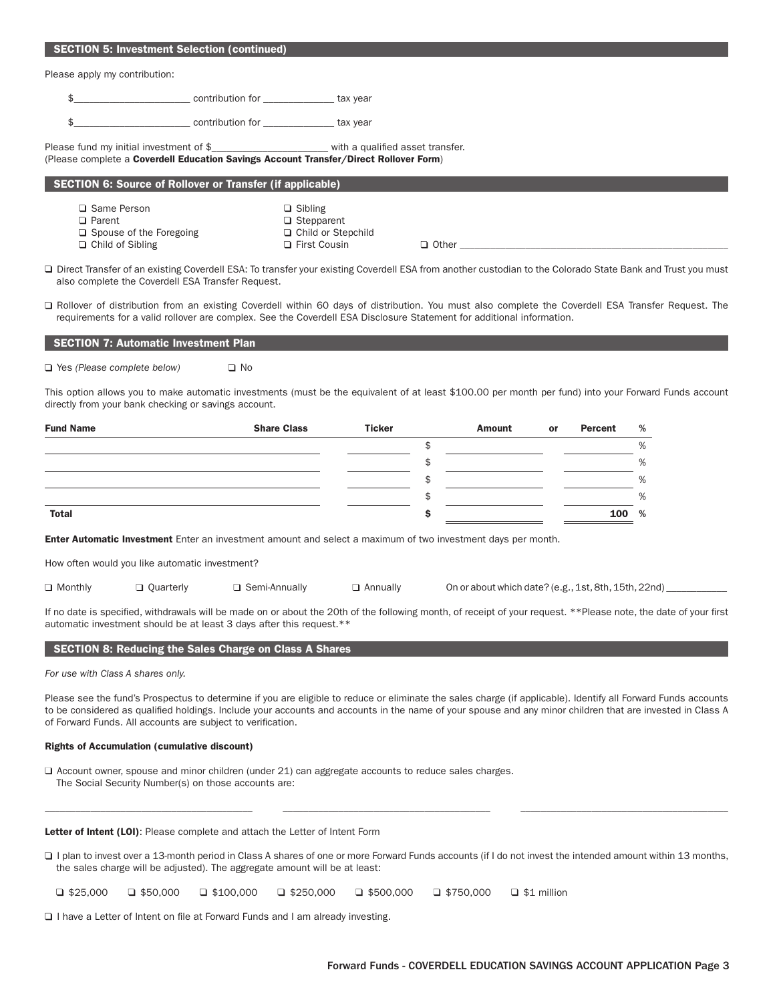| <b>SECTION 5: Investment Selection (continued)</b>                                                                                                                                                                                                                                                                                                                                         |           |                                                                               |                 |          |                                                                                   |    |                |        |  |
|--------------------------------------------------------------------------------------------------------------------------------------------------------------------------------------------------------------------------------------------------------------------------------------------------------------------------------------------------------------------------------------------|-----------|-------------------------------------------------------------------------------|-----------------|----------|-----------------------------------------------------------------------------------|----|----------------|--------|--|
| Please apply my contribution:                                                                                                                                                                                                                                                                                                                                                              |           |                                                                               |                 |          |                                                                                   |    |                |        |  |
| \$                                                                                                                                                                                                                                                                                                                                                                                         |           |                                                                               |                 |          |                                                                                   |    |                |        |  |
| \$                                                                                                                                                                                                                                                                                                                                                                                         |           |                                                                               |                 |          |                                                                                   |    |                |        |  |
| Please fund my initial investment of \$_________________________ with a qualified asset transfer.<br>(Please complete a Coverdell Education Savings Account Transfer/Direct Rollover Form)                                                                                                                                                                                                 |           |                                                                               |                 |          |                                                                                   |    |                |        |  |
| <b>SECTION 6: Source of Rollover or Transfer (if applicable)</b>                                                                                                                                                                                                                                                                                                                           |           |                                                                               |                 |          |                                                                                   |    |                |        |  |
| $\Box$ Same Person<br>$\Box$ Parent<br>$\Box$ Spouse of the Foregoing<br>$\Box$ Child of Sibling                                                                                                                                                                                                                                                                                           |           | $\Box$ Sibling<br>$\Box$ Stepparent<br>□ Child or Stepchild<br>□ First Cousin |                 |          | $\Box$ Other $\Box$                                                               |    |                |        |  |
| □ Direct Transfer of an existing Coverdell ESA: To transfer your existing Coverdell ESA from another custodian to the Colorado State Bank and Trust you must<br>also complete the Coverdell ESA Transfer Request.                                                                                                                                                                          |           |                                                                               |                 |          |                                                                                   |    |                |        |  |
| □ Rollover of distribution from an existing Coverdell within 60 days of distribution. You must also complete the Coverdell ESA Transfer Request. The<br>requirements for a valid rollover are complex. See the Coverdell ESA Disclosure Statement for additional information.                                                                                                              |           |                                                                               |                 |          |                                                                                   |    |                |        |  |
| <b>SECTION 7: Automatic Investment Plan</b>                                                                                                                                                                                                                                                                                                                                                |           |                                                                               |                 |          |                                                                                   |    |                |        |  |
| $\Box$ Yes (Please complete below)                                                                                                                                                                                                                                                                                                                                                         | $\Box$ No |                                                                               |                 |          |                                                                                   |    |                |        |  |
| This option allows you to make automatic investments (must be the equivalent of at least \$100.00 per month per fund) into your Forward Funds account<br>directly from your bank checking or savings account.                                                                                                                                                                              |           |                                                                               |                 |          |                                                                                   |    |                |        |  |
| <b>Fund Name</b>                                                                                                                                                                                                                                                                                                                                                                           |           | <b>Share Class</b>                                                            | <b>Ticker</b>   |          | Amount                                                                            | or | <b>Percent</b> | %      |  |
|                                                                                                                                                                                                                                                                                                                                                                                            |           |                                                                               |                 | \$       |                                                                                   |    |                | %      |  |
|                                                                                                                                                                                                                                                                                                                                                                                            |           |                                                                               |                 | \$<br>\$ |                                                                                   |    |                | %<br>% |  |
|                                                                                                                                                                                                                                                                                                                                                                                            |           |                                                                               |                 | \$       |                                                                                   |    |                | %      |  |
| <b>Total</b>                                                                                                                                                                                                                                                                                                                                                                               |           |                                                                               |                 | \$       |                                                                                   |    | 100            | %      |  |
| <b>Enter Automatic Investment</b> Enter an investment amount and select a maximum of two investment days per month.                                                                                                                                                                                                                                                                        |           |                                                                               |                 |          |                                                                                   |    |                |        |  |
| How often would you like automatic investment?                                                                                                                                                                                                                                                                                                                                             |           |                                                                               |                 |          |                                                                                   |    |                |        |  |
| $\Box$ Monthly                                                                                                                                                                                                                                                                                                                                                                             | Quarterly | □ Semi-Annually                                                               | $\Box$ Annually |          | On or about which date? (e.g., 1st, 8th, 15th, 22nd) ____________________________ |    |                |        |  |
| If no date is specified, withdrawals will be made on or about the 20th of the following month, of receipt of your request. **Please note, the date of your first<br>automatic investment should be at least 3 days after this request.**                                                                                                                                                   |           |                                                                               |                 |          |                                                                                   |    |                |        |  |
| <b>SECTION 8: Reducing the Sales Charge on Class A Shares</b>                                                                                                                                                                                                                                                                                                                              |           |                                                                               |                 |          |                                                                                   |    |                |        |  |
| For use with Class A shares only.                                                                                                                                                                                                                                                                                                                                                          |           |                                                                               |                 |          |                                                                                   |    |                |        |  |
| Please see the fund's Prospectus to determine if you are eligible to reduce or eliminate the sales charge (if applicable). Identify all Forward Funds accounts<br>to be considered as qualified holdings. Include your accounts and accounts in the name of your spouse and any minor children that are invested in Class A<br>of Forward Funds. All accounts are subject to verification. |           |                                                                               |                 |          |                                                                                   |    |                |        |  |
| <b>Rights of Accumulation (cumulative discount)</b>                                                                                                                                                                                                                                                                                                                                        |           |                                                                               |                 |          |                                                                                   |    |                |        |  |
| $\Box$ Account owner, spouse and minor children (under 21) can aggregate accounts to reduce sales charges.<br>The Social Security Number(s) on those accounts are:                                                                                                                                                                                                                         |           |                                                                               |                 |          |                                                                                   |    |                |        |  |
| <b>Letter of Intent (LOI):</b> Please complete and attach the Letter of Intent Form                                                                                                                                                                                                                                                                                                        |           |                                                                               |                 |          |                                                                                   |    |                |        |  |

□ I plan to invest over a 13-month period in Class A shares of one or more Forward Funds accounts (if I do not invest the intended amount within 13 months, the sales charge will be adjusted). The aggregate amount will be at least:

 $\Box$  \$25,000  $\Box$  \$50,000  $\Box$  \$100,000  $\Box$  \$250,000  $\Box$  \$500,000  $\Box$  \$750,000  $\Box$  \$1 million

 $\square$  I have a Letter of Intent on file at Forward Funds and I am already investing.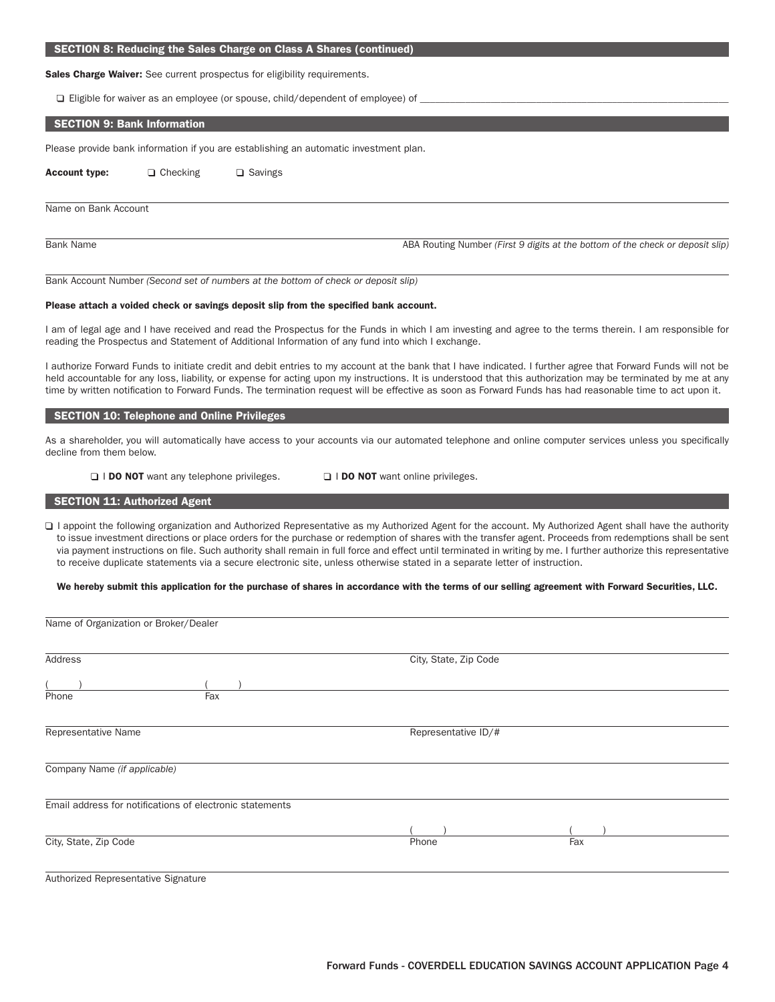#### SECTION 8: Reducing the Sales Charge on Class A Shares (continued)

Sales Charge Waiver: See current prospectus for eligibility requirements.

 $\Box$  Eligible for waiver as an employee (or spouse, child/dependent of employee) of

### SECTION 9: Bank Information

Please provide bank information if you are establishing an automatic investment plan.

Account type:  $\Box$  Checking  $\Box$  Savings

#### Name on Bank Account

Bank Name ABA Routing Number *(First 9 digits at the bottom of the check or deposit slip)* 

Bank Account Number *(Second set of numbers at the bottom of check or deposit slip)*

#### Please attach a voided check or savings deposit slip from the specified bank account.

I am of legal age and I have received and read the Prospectus for the Funds in which I am investing and agree to the terms therein. I am responsible for reading the Prospectus and Statement of Additional Information of any fund into which I exchange.

I authorize Forward Funds to initiate credit and debit entries to my account at the bank that I have indicated. I further agree that Forward Funds will not be held accountable for any loss, liability, or expense for acting upon my instructions. It is understood that this authorization may be terminated by me at any time by written notification to Forward Funds. The termination request will be effective as soon as Forward Funds has had reasonable time to act upon it.

#### SECTION 10: Telephone and Online Privileges

As a shareholder, you will automatically have access to your accounts via our automated telephone and online computer services unless you specifically decline from them below.

□ I DO NOT want any telephone privileges. □ I DO NOT want online privileges.

### **SECTION 11: Authorized Agent**

Name of Organization or Broker/Dealer

□ I appoint the following organization and Authorized Representative as my Authorized Agent for the account. My Authorized Agent shall have the authority to issue investment directions or place orders for the purchase or redemption of shares with the transfer agent. Proceeds from redemptions shall be sent via payment instructions on file. Such authority shall remain in full force and effect until terminated in writing by me. I further authorize this representative to receive duplicate statements via a secure electronic site, unless otherwise stated in a separate letter of instruction.

We hereby submit this application for the purchase of shares in accordance with the terms of our selling agreement with Forward Securities, LLC.

| Address                                                  | City, State, Zip Code |     |  |
|----------------------------------------------------------|-----------------------|-----|--|
|                                                          |                       |     |  |
| Fax<br>Phone                                             |                       |     |  |
| Representative Name                                      | Representative ID/#   |     |  |
| Company Name (if applicable)                             |                       |     |  |
| Email address for notifications of electronic statements |                       |     |  |
|                                                          |                       |     |  |
| City, State, Zip Code                                    | Phone                 | Fax |  |
| Authorized Representative Signature                      |                       |     |  |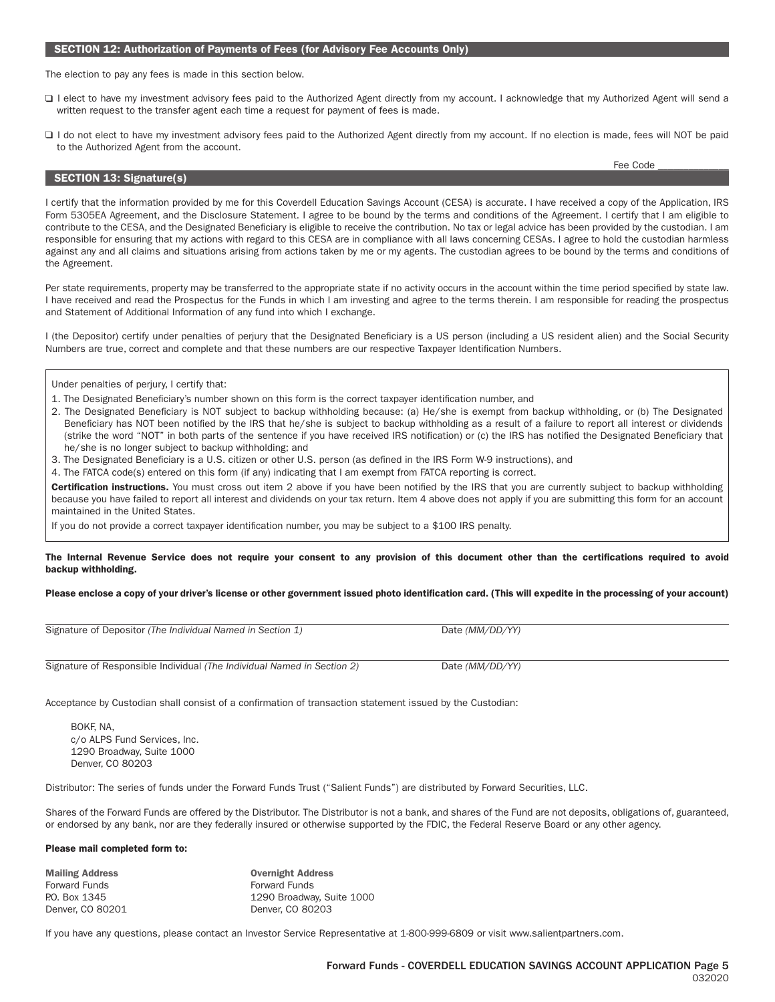### Forward Funds - COVERDELL EDUCATION SAVINGS ACCOUNT APPLICATION Page 5 032020

# SECTION 12: Authorization of Payments of Fees (for Advisory Fee Accounts Only)

The election to pay any fees is made in this section below.

- □ I elect to have my investment advisory fees paid to the Authorized Agent directly from my account. I acknowledge that my Authorized Agent will send a written request to the transfer agent each time a request for payment of fees is made.
- □ I do not elect to have my investment advisory fees paid to the Authorized Agent directly from my account. If no election is made, fees will NOT be paid to the Authorized Agent from the account.

### I certify that the information provided by me for this Coverdell Education Savings Account (CESA) is accurate. I have received a copy of the Application, IRS Form 5305EA Agreement, and the Disclosure Statement. I agree to be bound by the terms and conditions of the Agreement. I certify that I am eligible to contribute to the CESA, and the Designated Beneficiary is eligible to receive the contribution. No tax or legal advice has been provided by the custodian. I am responsible for ensuring that my actions with regard to this CESA are in compliance with all laws concerning CESAs. I agree to hold the custodian harmless against any and all claims and situations arising from actions taken by me or my agents. The custodian agrees to be bound by the terms and conditions of the Agreement.

Per state requirements, property may be transferred to the appropriate state if no activity occurs in the account within the time period specified by state law. I have received and read the Prospectus for the Funds in which I am investing and agree to the terms therein. I am responsible for reading the prospectus and Statement of Additional Information of any fund into which I exchange.

I (the Depositor) certify under penalties of perjury that the Designated Beneficiary is a US person (including a US resident alien) and the Social Security Numbers are true, correct and complete and that these numbers are our respective Taxpayer Identification Numbers.

Under penalties of perjury, I certify that:

SECTION 13: Signature(s)

- 1. The Designated Beneficiary's number shown on this form is the correct taxpayer identification number, and
- 2. The Designated Beneficiary is NOT subject to backup withholding because: (a) He/she is exempt from backup withholding, or (b) The Designated Beneficiary has NOT been notified by the IRS that he/she is subject to backup withholding as a result of a failure to report all interest or dividends (strike the word "NOT" in both parts of the sentence if you have received IRS notification) or (c) the IRS has notified the Designated Beneficiary that he/she is no longer subject to backup withholding; and
- 3. The Designated Beneficiary is a U.S. citizen or other U.S. person (as defined in the IRS Form W-9 instructions), and
- 4. The FATCA code(s) entered on this form (if any) indicating that I am exempt from FATCA reporting is correct.

Certification instructions. You must cross out item 2 above if you have been notified by the IRS that you are currently subject to backup withholding because you have failed to report all interest and dividends on your tax return. Item 4 above does not apply if you are submitting this form for an account maintained in the United States.

If you do not provide a correct taxpayer identification number, you may be subject to a \$100 IRS penalty.

#### The Internal Revenue Service does not require your consent to any provision of this document other than the certifications required to avoid backup withholding.

#### Please enclose a copy of your driver's license or other government issued photo identification card. (This will expedite in the processing of your account)

| Signature of Depositor (The Individual Named in Section 1)              | Date (MM/DD/YY) |
|-------------------------------------------------------------------------|-----------------|
| Signature of Responsible Individual (The Individual Named in Section 2) | Date (MM/DD/YY) |

Acceptance by Custodian shall consist of a confirmation of transaction statement issued by the Custodian:

BOKF, NA, c/o ALPS Fund Services, Inc. 1290 Broadway, Suite 1000 Denver, CO 80203

Distributor: The series of funds under the Forward Funds Trust ("Salient Funds") are distributed by Forward Securities, LLC.

Shares of the Forward Funds are offered by the Distributor. The Distributor is not a bank, and shares of the Fund are not deposits, obligations of, guaranteed, or endorsed by any bank, nor are they federally insured or otherwise supported by the FDIC, the Federal Reserve Board or any other agency.

#### Please mail completed form to:

| <b>Overnight Address</b>  |
|---------------------------|
| <b>Forward Funds</b>      |
| 1290 Broadway, Suite 1000 |
| Denver, CO 80203          |
|                           |

If you have any questions, please contact an Investor Service Representative at 1-800-999-6809 or visit www.salientpartners.com.

Fee Code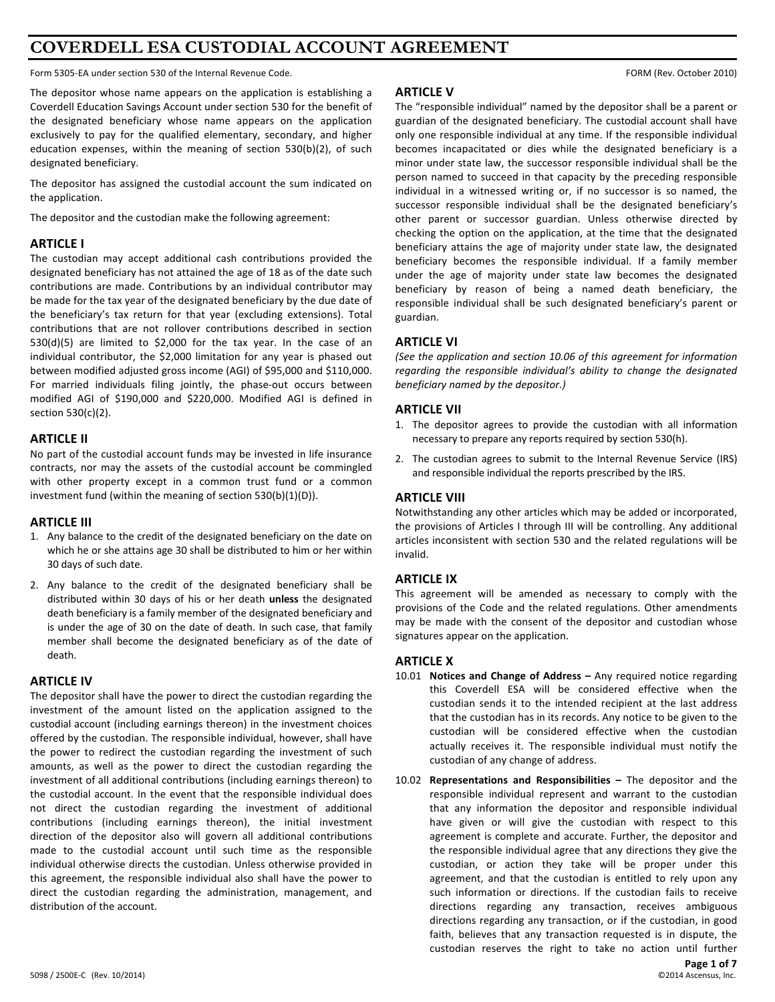# **COVERDELL ESA CUSTODIAL ACCOUNT AGREEMENT**

Form 5305-EA under section 530 of the Internal Revenue Code. The section of the section 530 of the Internal Revenue Code.

The depositor whose name appears on the application is establishing a Coverdell Education Savings Account under section 530 for the benefit of the designated beneficiary whose name appears on the application exclusively to pay for the qualified elementary, secondary, and higher education expenses, within the meaning of section  $530(b)(2)$ , of such designated beneficiary.

The depositor has assigned the custodial account the sum indicated on the application.

The depositor and the custodian make the following agreement:

## **ARTICLE I**

The custodian may accept additional cash contributions provided the designated beneficiary has not attained the age of 18 as of the date such contributions are made. Contributions by an individual contributor may be made for the tax year of the designated beneficiary by the due date of the beneficiary's tax return for that year (excluding extensions). Total contributions that are not rollover contributions described in section  $530(d)(5)$  are limited to \$2,000 for the tax year. In the case of an individual contributor, the \$2,000 limitation for any year is phased out between modified adjusted gross income (AGI) of \$95,000 and \$110,000. For married individuals filing jointly, the phase-out occurs between modified AGI of \$190,000 and \$220,000. Modified AGI is defined in section 530(c)(2).

# **ARTICLE II**

No part of the custodial account funds may be invested in life insurance contracts, nor may the assets of the custodial account be commingled with other property except in a common trust fund or a common investment fund (within the meaning of section  $530(b)(1)(D)$ ).

## **ARTICLE III**

- 1. Any balance to the credit of the designated beneficiary on the date on which he or she attains age 30 shall be distributed to him or her within 30 days of such date.
- 2. Any balance to the credit of the designated beneficiary shall be distributed within 30 days of his or her death unless the designated death beneficiary is a family member of the designated beneficiary and is under the age of 30 on the date of death. In such case, that family member shall become the designated beneficiary as of the date of death.

# **ARTICLE IV**

The depositor shall have the power to direct the custodian regarding the investment of the amount listed on the application assigned to the custodial account (including earnings thereon) in the investment choices offered by the custodian. The responsible individual, however, shall have the power to redirect the custodian regarding the investment of such amounts, as well as the power to direct the custodian regarding the investment of all additional contributions (including earnings thereon) to the custodial account. In the event that the responsible individual does not direct the custodian regarding the investment of additional contributions (including earnings thereon), the initial investment direction of the depositor also will govern all additional contributions made to the custodial account until such time as the responsible individual otherwise directs the custodian. Unless otherwise provided in this agreement, the responsible individual also shall have the power to direct the custodian regarding the administration, management, and distribution of the account.

# **ARTICLE V**

The "responsible individual" named by the depositor shall be a parent or guardian of the designated beneficiary. The custodial account shall have only one responsible individual at any time. If the responsible individual becomes incapacitated or dies while the designated beneficiary is a minor under state law, the successor responsible individual shall be the person named to succeed in that capacity by the preceding responsible individual in a witnessed writing or, if no successor is so named, the successor responsible individual shall be the designated beneficiary's other parent or successor guardian. Unless otherwise directed by checking the option on the application, at the time that the designated beneficiary attains the age of majority under state law, the designated beneficiary becomes the responsible individual. If a family member under the age of majority under state law becomes the designated beneficiary by reason of being a named death beneficiary, the responsible individual shall be such designated beneficiary's parent or guardian.

# **ARTICLE VI**

(See the application and section 10.06 of this agreement for information regarding the responsible individual's ability to change the designated beneficiary named by the depositor.)

# **ARTICLE VII**

- 1. The depositor agrees to provide the custodian with all information necessary to prepare any reports required by section 530(h).
- 2. The custodian agrees to submit to the Internal Revenue Service (IRS) and responsible individual the reports prescribed by the IRS.

# **ARTICLE VIII**

Notwithstanding any other articles which may be added or incorporated, the provisions of Articles I through III will be controlling. Any additional articles inconsistent with section 530 and the related regulations will be invalid.

## **ARTICLE IX**

This agreement will be amended as necessary to comply with the provisions of the Code and the related regulations. Other amendments may be made with the consent of the depositor and custodian whose signatures appear on the application.

# **ARTICLE X**

- 10.01 **Notices and Change of Address** Any required notice regarding this Coverdell ESA will be considered effective when the custodian sends it to the intended recipient at the last address that the custodian has in its records. Any notice to be given to the custodian will be considered effective when the custodian actually receives it. The responsible individual must notify the custodian of any change of address.
- 10.02 **Representations and Responsibilities** The depositor and the responsible individual represent and warrant to the custodian that any information the depositor and responsible individual have given or will give the custodian with respect to this agreement is complete and accurate. Further, the depositor and the responsible individual agree that any directions they give the custodian, or action they take will be proper under this agreement, and that the custodian is entitled to rely upon any such information or directions. If the custodian fails to receive directions regarding any transaction, receives ambiguous directions regarding any transaction, or if the custodian, in good faith, believes that any transaction requested is in dispute, the custodian reserves the right to take no action until further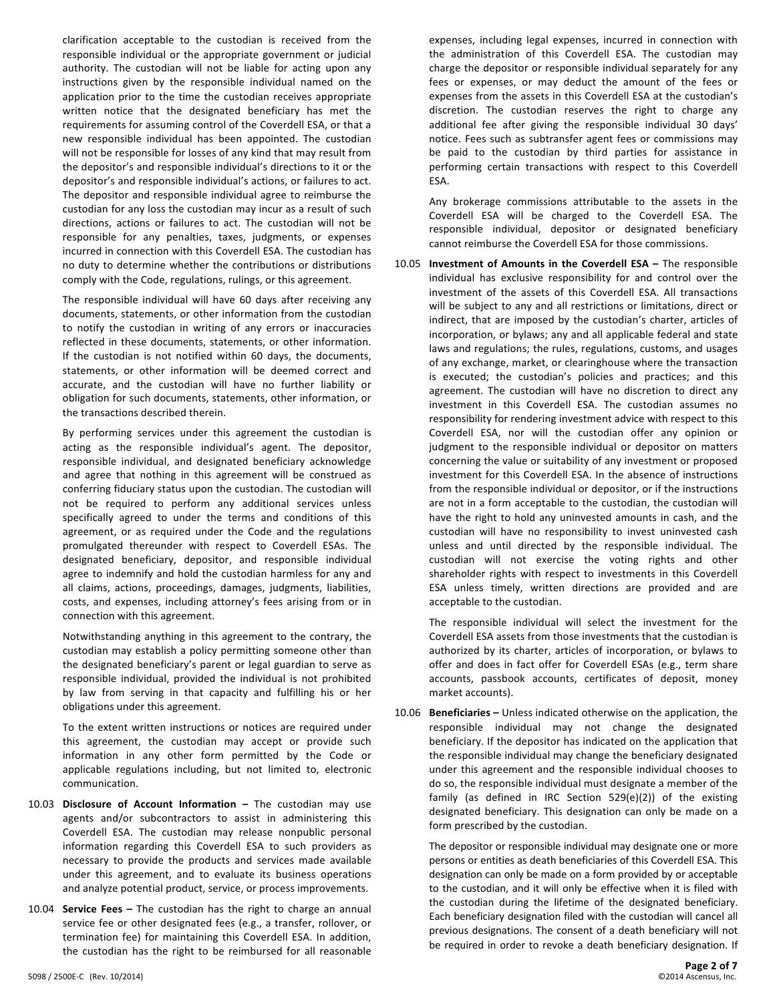clarification acceptable to the custodian is received from the responsible individual or the appropriate government or judicial authority. The custodian will not be liable for acting upon any instructions given by the responsible individual named on the application prior to the time the custodian receives appropriate written notice that the designated beneficiary has met the requirements for assuming control of the Coverdell ESA, or that a new responsible individual has been appointed. The custodian will not be responsible for losses of any kind that may result from the depositor's and responsible individual's directions to it or the depositor's and responsible individual's actions, or failures to act. The depositor and responsible individual agree to reimburse the custodian for any loss the custodian may incur as a result of such directions, actions or failures to act. The custodian will not be responsible for any penalties, taxes, judgments, or expenses incurred in connection with this Coverdell ESA. The custodian has no duty to determine whether the contributions or distributions comply with the Code, regulations, rulings, or this agreement.

The responsible individual will have 60 days after receiving any documents, statements, or other information from the custodian to notify the custodian in writing of any errors or inaccuracies reflected in these documents, statements, or other information. If the custodian is not notified within 60 days, the documents, statements, or other information will be deemed correct and accurate, and the custodian will have no further liability or obligation for such documents, statements, other information, or the transactions described therein.

By performing services under this agreement the custodian is acting as the responsible individual's agent. The depositor, responsible individual, and designated beneficiary acknowledge and agree that nothing in this agreement will be construed as conferring fiduciary status upon the custodian. The custodian will not be required to perform any additional services unless specifically agreed to under the terms and conditions of this agreement, or as required under the Code and the regulations promulgated thereunder with respect to Coverdell ESAs. The designated beneficiary, depositor, and responsible individual agree to indemnify and hold the custodian harmless for any and all claims, actions, proceedings, damages, judgments, liabilities, costs, and expenses, including attorney's fees arising from or in connection with this agreement.

Notwithstanding anything in this agreement to the contrary, the custodian may establish a policy permitting someone other than the designated beneficiary's parent or legal guardian to serve as responsible individual, provided the individual is not prohibited by law from serving in that capacity and fulfilling his or her obligations under this agreement.

To the extent written instructions or notices are required under this agreement, the custodian may accept or provide such information in any other form permitted by the Code or applicable regulations including, but not limited to, electronic communication.

- 10.03 Disclosure of Account Information The custodian may use agents and/or subcontractors to assist in administering this Coverdell ESA. The custodian may release nonpublic personal information regarding this Coverdell ESA to such providers as necessary to provide the products and services made available under this agreement, and to evaluate its business operations and analyze potential product, service, or process improvements.
- 10.04 **Service Fees** The custodian has the right to charge an annual service fee or other designated fees (e.g., a transfer, rollover, or termination fee) for maintaining this Coverdell ESA. In addition, the custodian has the right to be reimbursed for all reasonable

expenses, including legal expenses, incurred in connection with the administration of this Coverdell ESA. The custodian may charge the depositor or responsible individual separately for any fees or expenses, or may deduct the amount of the fees or expenses from the assets in this Coverdell ESA at the custodian's discretion. The custodian reserves the right to charge any additional fee after giving the responsible individual 30 days' notice. Fees such as subtransfer agent fees or commissions may be paid to the custodian by third parties for assistance in performing certain transactions with respect to this Coverdell ESA.

Any brokerage commissions attributable to the assets in the Coverdell ESA will be charged to the Coverdell ESA. The responsible individual, depositor or designated beneficiary cannot reimburse the Coverdell ESA for those commissions.

10.05 **Investment of Amounts in the Coverdell ESA** - The responsible individual has exclusive responsibility for and control over the investment of the assets of this Coverdell ESA. All transactions will be subject to any and all restrictions or limitations, direct or indirect, that are imposed by the custodian's charter, articles of incorporation, or bylaws; any and all applicable federal and state laws and regulations; the rules, regulations, customs, and usages of any exchange, market, or clearinghouse where the transaction is executed; the custodian's policies and practices; and this agreement. The custodian will have no discretion to direct any investment in this Coverdell ESA. The custodian assumes no responsibility for rendering investment advice with respect to this Coverdell ESA, nor will the custodian offer any opinion or judgment to the responsible individual or depositor on matters concerning the value or suitability of any investment or proposed investment for this Coverdell ESA. In the absence of instructions from the responsible individual or depositor, or if the instructions are not in a form acceptable to the custodian, the custodian will have the right to hold any uninvested amounts in cash, and the custodian will have no responsibility to invest uninvested cash unless and until directed by the responsible individual. The custodian will not exercise the voting rights and other shareholder rights with respect to investments in this Coverdell ESA unless timely, written directions are provided and are acceptable to the custodian.

The responsible individual will select the investment for the Coverdell ESA assets from those investments that the custodian is authorized by its charter, articles of incorporation, or bylaws to offer and does in fact offer for Coverdell ESAs (e.g., term share accounts, passbook accounts, certificates of deposit, money market accounts).

10.06 **Beneficiaries** - Unless indicated otherwise on the application, the responsible individual may not change the designated beneficiary. If the depositor has indicated on the application that the responsible individual may change the beneficiary designated under this agreement and the responsible individual chooses to do so, the responsible individual must designate a member of the family (as defined in IRC Section  $529(e)(2)$ ) of the existing designated beneficiary. This designation can only be made on a form prescribed by the custodian.

The depositor or responsible individual may designate one or more persons or entities as death beneficiaries of this Coverdell ESA. This designation can only be made on a form provided by or acceptable to the custodian, and it will only be effective when it is filed with the custodian during the lifetime of the designated beneficiary. Each beneficiary designation filed with the custodian will cancel all previous designations. The consent of a death beneficiary will not be required in order to revoke a death beneficiary designation. If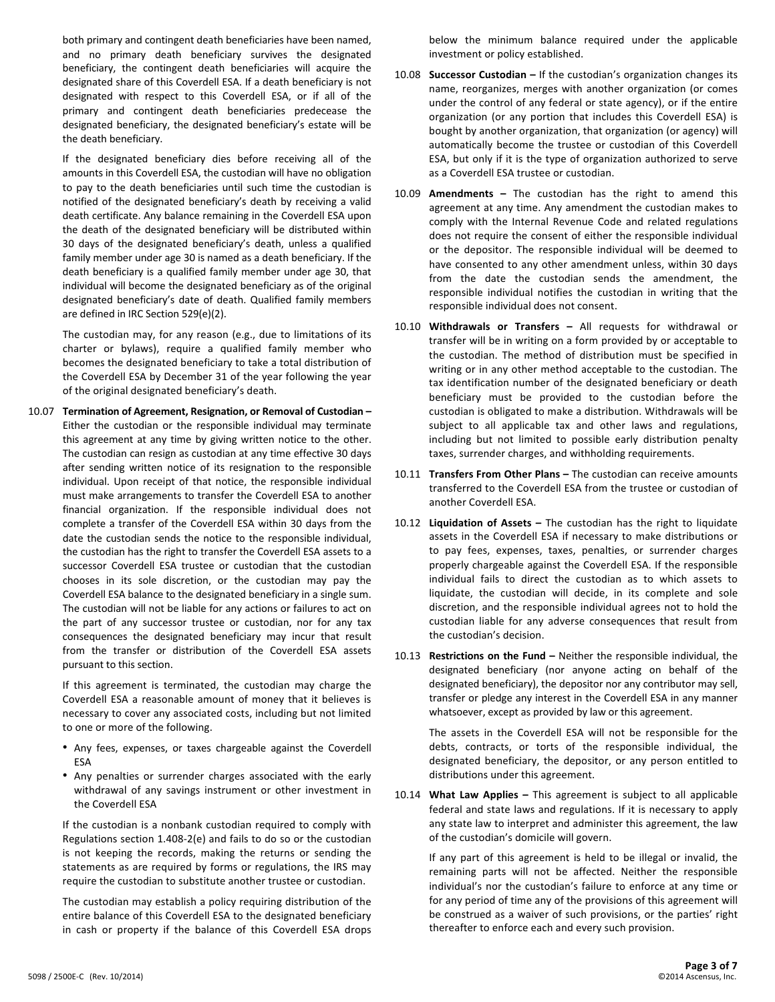both primary and contingent death beneficiaries have been named, and no primary death beneficiary survives the designated beneficiary, the contingent death beneficiaries will acquire the designated share of this Coverdell ESA. If a death beneficiary is not designated with respect to this Coverdell ESA, or if all of the primary and contingent death beneficiaries predecease the designated beneficiary, the designated beneficiary's estate will be the death beneficiary.

If the designated beneficiary dies before receiving all of the amounts in this Coverdell ESA, the custodian will have no obligation to pay to the death beneficiaries until such time the custodian is notified of the designated beneficiary's death by receiving a valid death certificate. Any balance remaining in the Coverdell ESA upon the death of the designated beneficiary will be distributed within 30 days of the designated beneficiary's death, unless a qualified family member under age 30 is named as a death beneficiary. If the death beneficiary is a qualified family member under age 30, that individual will become the designated beneficiary as of the original designated beneficiary's date of death. Qualified family members are defined in IRC Section 529(e)(2).

The custodian may, for any reason (e.g., due to limitations of its charter or bylaws), require a qualified family member who becomes the designated beneficiary to take a total distribution of the Coverdell ESA by December 31 of the year following the year of the original designated beneficiary's death.

10.07 Termination of Agreement, Resignation, or Removal of Custodian -Either the custodian or the responsible individual may terminate this agreement at any time by giving written notice to the other. The custodian can resign as custodian at any time effective 30 days after sending written notice of its resignation to the responsible individual. Upon receipt of that notice, the responsible individual must make arrangements to transfer the Coverdell ESA to another financial organization. If the responsible individual does not complete a transfer of the Coverdell ESA within 30 days from the date the custodian sends the notice to the responsible individual. the custodian has the right to transfer the Coverdell ESA assets to a successor Coverdell ESA trustee or custodian that the custodian chooses in its sole discretion, or the custodian may pay the Coverdell ESA balance to the designated beneficiary in a single sum. The custodian will not be liable for any actions or failures to act on the part of any successor trustee or custodian, nor for any tax consequences the designated beneficiary may incur that result from the transfer or distribution of the Coverdell ESA assets pursuant to this section.

If this agreement is terminated, the custodian may charge the Coverdell ESA a reasonable amount of money that it believes is necessary to cover any associated costs, including but not limited to one or more of the following.

- Any fees, expenses, or taxes chargeable against the Coverdell ESA
- Any penalties or surrender charges associated with the early withdrawal of any savings instrument or other investment in the Coverdell ESA

If the custodian is a nonbank custodian required to comply with Regulations section 1.408-2(e) and fails to do so or the custodian is not keeping the records, making the returns or sending the statements as are required by forms or regulations, the IRS may require the custodian to substitute another trustee or custodian.

The custodian may establish a policy requiring distribution of the entire balance of this Coverdell ESA to the designated beneficiary in cash or property if the balance of this Coverdell ESA drops below the minimum balance required under the applicable investment or policy established.

- 10.08 **Successor Custodian** If the custodian's organization changes its name, reorganizes, merges with another organization (or comes under the control of any federal or state agency), or if the entire organization (or any portion that includes this Coverdell ESA) is bought by another organization, that organization (or agency) will automatically become the trustee or custodian of this Coverdell ESA, but only if it is the type of organization authorized to serve as a Coverdell ESA trustee or custodian.
- 10.09 **Amendments** The custodian has the right to amend this agreement at any time. Any amendment the custodian makes to comply with the Internal Revenue Code and related regulations does not require the consent of either the responsible individual or the depositor. The responsible individual will be deemed to have consented to any other amendment unless, within 30 days from the date the custodian sends the amendment, the responsible individual notifies the custodian in writing that the responsible individual does not consent.
- 10.10 Withdrawals or Transfers All requests for withdrawal or transfer will be in writing on a form provided by or acceptable to the custodian. The method of distribution must be specified in writing or in any other method acceptable to the custodian. The tax identification number of the designated beneficiary or death beneficiary must be provided to the custodian before the custodian is obligated to make a distribution. Withdrawals will be subject to all applicable tax and other laws and regulations, including but not limited to possible early distribution penalty taxes, surrender charges, and withholding requirements.
- 10.11 **Transfers From Other Plans -** The custodian can receive amounts transferred to the Coverdell ESA from the trustee or custodian of another Coverdell ESA.
- 10.12 Liquidation of Assets The custodian has the right to liquidate assets in the Coverdell ESA if necessary to make distributions or to pay fees, expenses, taxes, penalties, or surrender charges properly chargeable against the Coverdell ESA. If the responsible individual fails to direct the custodian as to which assets to liquidate, the custodian will decide, in its complete and sole discretion, and the responsible individual agrees not to hold the custodian liable for any adverse consequences that result from the custodian's decision.
- 10.13 **Restrictions on the Fund** Neither the responsible individual, the designated beneficiary (nor anyone acting on behalf of the designated beneficiary), the depositor nor any contributor may sell, transfer or pledge any interest in the Coverdell ESA in any manner whatsoever, except as provided by law or this agreement.

The assets in the Coverdell ESA will not be responsible for the debts, contracts, or torts of the responsible individual, the designated beneficiary, the depositor, or any person entitled to distributions under this agreement.

10.14 What Law Applies - This agreement is subject to all applicable federal and state laws and regulations. If it is necessary to apply any state law to interpret and administer this agreement, the law of the custodian's domicile will govern.

If any part of this agreement is held to be illegal or invalid, the remaining parts will not be affected. Neither the responsible individual's nor the custodian's failure to enforce at any time or for any period of time any of the provisions of this agreement will be construed as a waiver of such provisions, or the parties' right thereafter to enforce each and every such provision.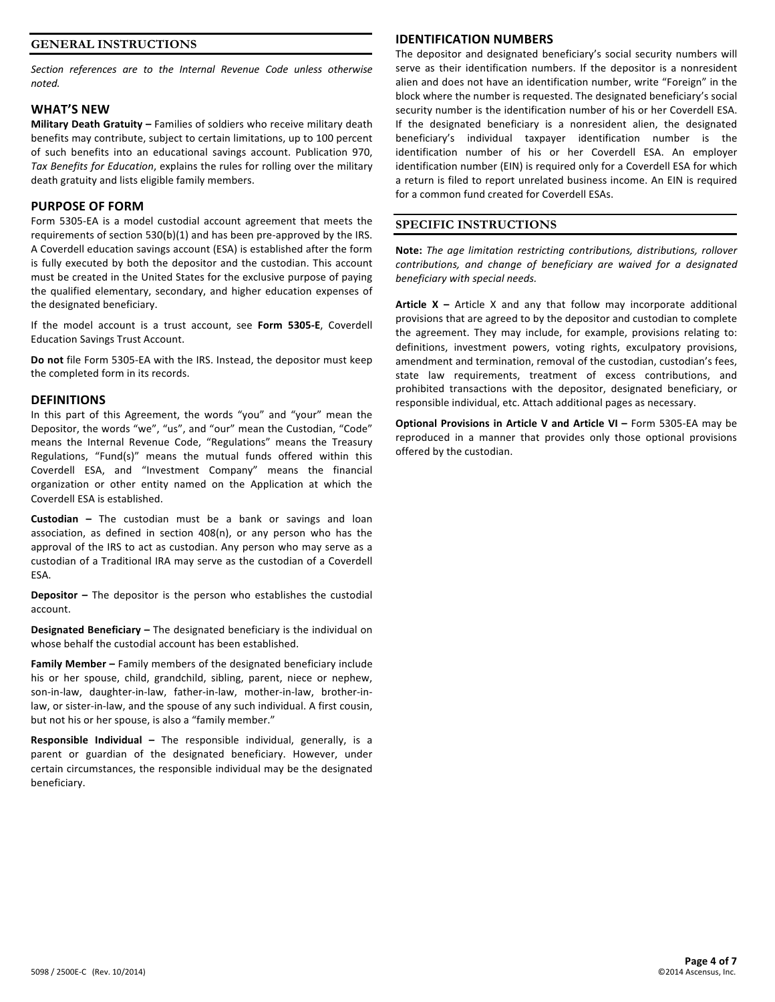# **GENERAL INSTRUCTIONS**

Section references are to the Internal Revenue Code unless otherwise *noted.*

### **WHAT'S 
 NEW**

Military Death Gratuity - Families of soldiers who receive military death benefits may contribute, subject to certain limitations, up to 100 percent of such benefits into an educational savings account. Publication 970, Tax Benefits for Education, explains the rules for rolling over the military death gratuity and lists eligible family members.

### **PURPOSE OF FORM**

Form 5305-EA is a model custodial account agreement that meets the requirements of section 530(b)(1) and has been pre-approved by the IRS. A Coverdell education savings account (ESA) is established after the form is fully executed by both the depositor and the custodian. This account must be created in the United States for the exclusive purpose of paying the qualified elementary, secondary, and higher education expenses of the designated beneficiary.

If the model account is a trust account, see Form 5305-E, Coverdell **Education Savings Trust Account.** 

Do not file Form 5305-EA with the IRS. Instead, the depositor must keep the completed form in its records.

#### **DEFINITIONS**

In this part of this Agreement, the words "you" and "your" mean the Depositor, the words "we", "us", and "our" mean the Custodian, "Code" means the Internal Revenue Code, "Regulations" means the Treasury Regulations, "Fund(s)" means the mutual funds offered within this Coverdell ESA, and "Investment Company" means the financial organization or other entity named on the Application at which the Coverdell ESA is established.

**Custodian** - The custodian must be a bank or savings and loan association, as defined in section  $408(n)$ , or any person who has the approval of the IRS to act as custodian. Any person who may serve as a custodian of a Traditional IRA may serve as the custodian of a Coverdell ESA.

**Depositor** – The depositor is the person who establishes the custodial account.

**Designated Beneficiary** – The designated beneficiary is the individual on whose behalf the custodial account has been established.

**Family Member –** Family members of the designated beneficiary include his or her spouse, child, grandchild, sibling, parent, niece or nephew, son-in-law, daughter-in-law, father-in-law, mother-in-law, brother-inlaw, or sister-in-law, and the spouse of any such individual. A first cousin, but not his or her spouse, is also a "family member."

**Responsible Individual –** The responsible individual, generally, is a parent or guardian of the designated beneficiary. However, under certain circumstances, the responsible individual may be the designated beneficiary.

### **IDENTIFICATION NUMBERS**

The depositor and designated beneficiary's social security numbers will serve as their identification numbers. If the depositor is a nonresident alien and does not have an identification number, write "Foreign" in the block where the number is requested. The designated beneficiary's social security number is the identification number of his or her Coverdell ESA. If the designated beneficiary is a nonresident alien, the designated beneficiary's individual taxpayer identification number is the identification number of his or her Coverdell ESA. An employer identification number (EIN) is required only for a Coverdell ESA for which a return is filed to report unrelated business income. An EIN is required for a common fund created for Coverdell ESAs.

### **SPECIFIC INSTRUCTIONS**

Note: The age limitation restricting contributions, distributions, rollover contributions, and change of beneficiary are waived for a designated beneficiary with special needs.

**Article X** – Article X and any that follow may incorporate additional provisions that are agreed to by the depositor and custodian to complete the agreement. They may include, for example, provisions relating to: definitions, investment powers, voting rights, exculpatory provisions, amendment and termination, removal of the custodian, custodian's fees, state law requirements, treatment of excess contributions, and prohibited transactions with the depositor, designated beneficiary, or responsible individual, etc. Attach additional pages as necessary.

**Optional Provisions in Article V and Article VI –** Form 5305-EA may be reproduced in a manner that provides only those optional provisions offered by the custodian.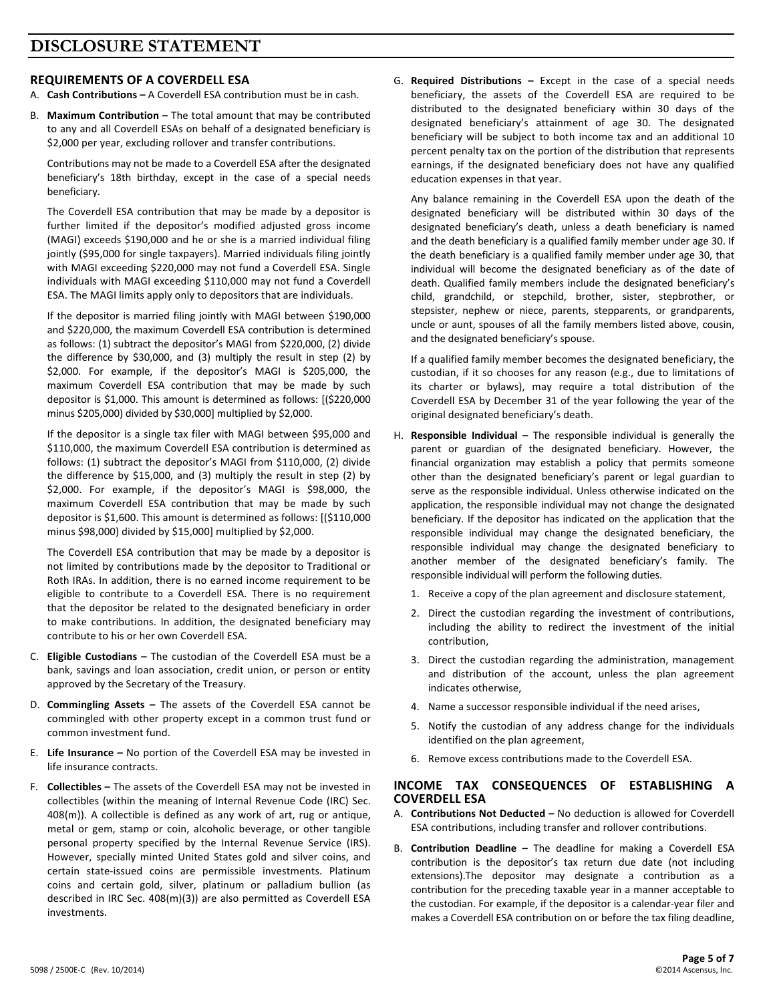# **REQUIREMENTS OF A COVERDELL ESA**

- A. **Cash Contributions** A Coverdell ESA contribution must be in cash.
- B. Maximum Contribution The total amount that may be contributed to any and all Coverdell ESAs on behalf of a designated beneficiary is \$2,000 per year, excluding rollover and transfer contributions.

Contributions may not be made to a Coverdell ESA after the designated beneficiary's 18th birthday, except in the case of a special needs beneficiary.

The Coverdell ESA contribution that may be made by a depositor is further limited if the depositor's modified adjusted gross income (MAGI) exceeds \$190,000 and he or she is a married individual filing jointly (\$95,000 for single taxpayers). Married individuals filing jointly with MAGI exceeding \$220,000 may not fund a Coverdell ESA. Single individuals with MAGI exceeding \$110,000 may not fund a Coverdell ESA. The MAGI limits apply only to depositors that are individuals.

If the depositor is married filing jointly with MAGI between \$190,000 and \$220,000, the maximum Coverdell ESA contribution is determined as follows: (1) subtract the depositor's MAGI from \$220,000, (2) divide the difference by \$30,000, and (3) multiply the result in step (2) by \$2,000. For example, if the depositor's MAGI is \$205,000, the maximum Coverdell ESA contribution that may be made by such depositor is \$1,000. This amount is determined as follows:  $[($220,000]$ minus \$205,000) divided by \$30,000] multiplied by \$2,000.

If the depositor is a single tax filer with MAGI between \$95,000 and \$110,000, the maximum Coverdell ESA contribution is determined as follows: (1) subtract the depositor's MAGI from \$110,000, (2) divide the difference by \$15,000, and (3) multiply the result in step (2) by \$2,000. For example, if the depositor's MAGI is \$98,000, the maximum Coverdell ESA contribution that may be made by such depositor is \$1,600. This amount is determined as follows: [(\$110,000 minus \$98,000) divided by \$15,000] multiplied by \$2,000.

The Coverdell ESA contribution that may be made by a depositor is not limited by contributions made by the depositor to Traditional or Roth IRAs. In addition, there is no earned income requirement to be eligible to contribute to a Coverdell ESA. There is no requirement that the depositor be related to the designated beneficiary in order to make contributions. In addition, the designated beneficiary may contribute to his or her own Coverdell ESA.

- C. Eligible Custodians The custodian of the Coverdell ESA must be a bank, savings and loan association, credit union, or person or entity approved by the Secretary of the Treasury.
- D. **Commingling Assets** The assets of the Coverdell ESA cannot be commingled with other property except in a common trust fund or common investment fund.
- E. Life Insurance No portion of the Coverdell ESA may be invested in life insurance contracts.
- F. **Collectibles** The assets of the Coverdell ESA may not be invested in collectibles (within the meaning of Internal Revenue Code (IRC) Sec.  $408(m)$ ). A collectible is defined as any work of art, rug or antique, metal or gem, stamp or coin, alcoholic beverage, or other tangible personal property specified by the Internal Revenue Service (IRS). However, specially minted United States gold and silver coins, and certain state-issued coins are permissible investments. Platinum coins and certain gold, silver, platinum or palladium bullion (as described in IRC Sec. 408(m)(3)) are also permitted as Coverdell ESA investments.

G. Required Distributions - Except in the case of a special needs beneficiary, the assets of the Coverdell ESA are required to be distributed to the designated beneficiary within 30 days of the designated beneficiary's attainment of age 30. The designated beneficiary will be subject to both income tax and an additional 10 percent penalty tax on the portion of the distribution that represents earnings, if the designated beneficiary does not have any qualified education expenses in that year.

Any balance remaining in the Coverdell ESA upon the death of the designated beneficiary will be distributed within 30 days of the designated beneficiary's death, unless a death beneficiary is named and the death beneficiary is a qualified family member under age 30. If the death beneficiary is a qualified family member under age 30, that individual will become the designated beneficiary as of the date of death. Qualified family members include the designated beneficiary's child, grandchild, or stepchild, brother, sister, stepbrother, or stepsister, nephew or niece, parents, stepparents, or grandparents, uncle or aunt, spouses of all the family members listed above, cousin, and the designated beneficiary's spouse.

If a qualified family member becomes the designated beneficiary, the custodian, if it so chooses for any reason (e.g., due to limitations of its charter or bylaws), may require a total distribution of the Coverdell ESA by December 31 of the year following the year of the original designated beneficiary's death.

- H. Responsible Individual The responsible individual is generally the parent or guardian of the designated beneficiary. However, the financial organization may establish a policy that permits someone other than the designated beneficiary's parent or legal guardian to serve as the responsible individual. Unless otherwise indicated on the application, the responsible individual may not change the designated beneficiary. If the depositor has indicated on the application that the responsible individual may change the designated beneficiary, the responsible individual may change the designated beneficiary to another member of the designated beneficiary's family. The responsible individual will perform the following duties.
	- 1. Receive a copy of the plan agreement and disclosure statement,
	- 2. Direct the custodian regarding the investment of contributions, including the ability to redirect the investment of the initial contribution,
	- 3. Direct the custodian regarding the administration, management and distribution of the account, unless the plan agreement indicates otherwise,
	- 4. Name a successor responsible individual if the need arises,
	- 5. Notify the custodian of any address change for the individuals identified on the plan agreement,
	- 6. Remove excess contributions made to the Coverdell ESA.

# INCOME TAX CONSEQUENCES OF ESTABLISHING A **COVERDELL ESA**

- A. **Contributions Not Deducted -** No deduction is allowed for Coverdell ESA contributions, including transfer and rollover contributions.
- B. **Contribution Deadline** The deadline for making a Coverdell ESA contribution is the depositor's tax return due date (not including extensions). The depositor may designate a contribution as a contribution for the preceding taxable year in a manner acceptable to the custodian. For example, if the depositor is a calendar-year filer and makes a Coverdell ESA contribution on or before the tax filing deadline,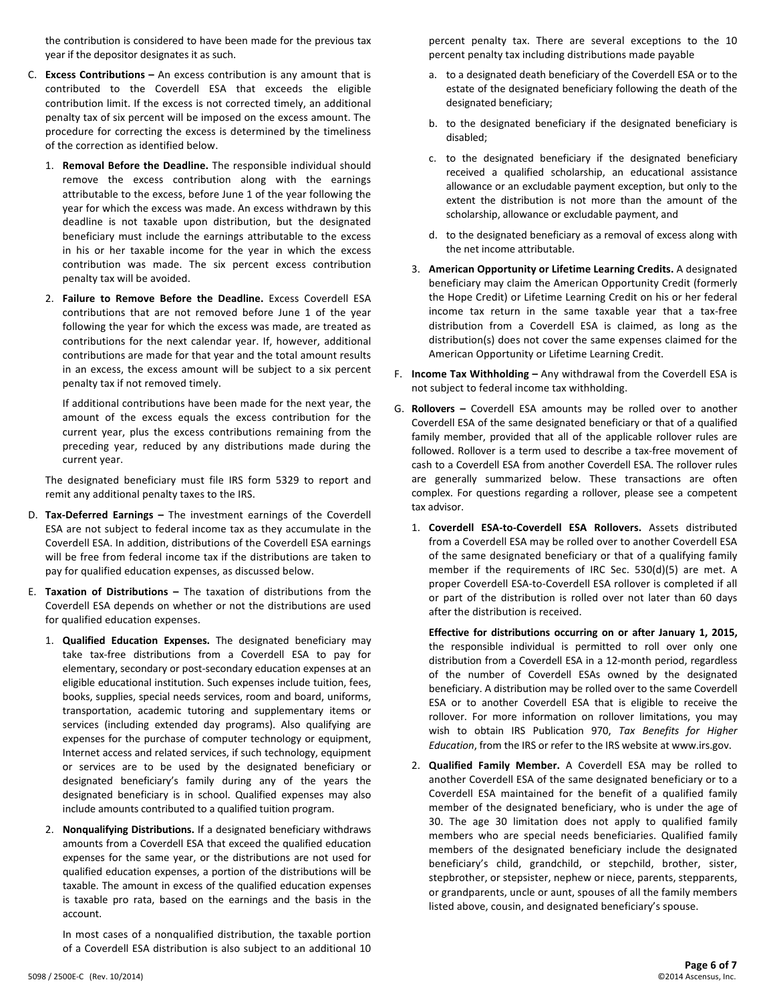the contribution is considered to have been made for the previous tax year if the depositor designates it as such.

- C. Excess Contributions An excess contribution is any amount that is contributed to the Coverdell ESA that exceeds the eligible contribution limit. If the excess is not corrected timely, an additional penalty tax of six percent will be imposed on the excess amount. The procedure for correcting the excess is determined by the timeliness of the correction as identified below.
	- 1. Removal Before the Deadline. The responsible individual should remove the excess contribution along with the earnings attributable to the excess, before June 1 of the year following the year for which the excess was made. An excess withdrawn by this deadline is not taxable upon distribution, but the designated beneficiary must include the earnings attributable to the excess in his or her taxable income for the year in which the excess contribution was made. The six percent excess contribution penalty tax will be avoided.
	- 2. Failure to Remove Before the Deadline. Excess Coverdell ESA contributions that are not removed before June 1 of the year following the year for which the excess was made, are treated as contributions for the next calendar year. If, however, additional contributions are made for that year and the total amount results in an excess, the excess amount will be subject to a six percent penalty tax if not removed timely.

If additional contributions have been made for the next year, the amount of the excess equals the excess contribution for the current year, plus the excess contributions remaining from the preceding year, reduced by any distributions made during the current year.

The designated beneficiary must file IRS form 5329 to report and remit any additional penalty taxes to the IRS.

- D. Tax-Deferred Earnings The investment earnings of the Coverdell ESA are not subject to federal income tax as they accumulate in the Coverdell ESA. In addition, distributions of the Coverdell ESA earnings will be free from federal income tax if the distributions are taken to pay for qualified education expenses, as discussed below.
- E. Taxation of Distributions The taxation of distributions from the Coverdell ESA depends on whether or not the distributions are used for qualified education expenses.
	- 1. Qualified Education Expenses. The designated beneficiary may take tax-free distributions from a Coverdell ESA to pay for elementary, secondary or post-secondary education expenses at an eligible educational institution. Such expenses include tuition, fees, books, supplies, special needs services, room and board, uniforms, transportation, academic tutoring and supplementary items or services (including extended day programs). Also qualifying are expenses for the purchase of computer technology or equipment, Internet access and related services, if such technology, equipment or services are to be used by the designated beneficiary or designated beneficiary's family during any of the years the designated beneficiary is in school. Qualified expenses may also include amounts contributed to a qualified tuition program.
	- 2. Nonqualifying Distributions. If a designated beneficiary withdraws amounts from a Coverdell ESA that exceed the qualified education expenses for the same year, or the distributions are not used for qualified education expenses, a portion of the distributions will be taxable. The amount in excess of the qualified education expenses is taxable pro rata, based on the earnings and the basis in the account.

In most cases of a nonqualified distribution, the taxable portion of a Coverdell ESA distribution is also subject to an additional 10 percent penalty tax. There are several exceptions to the 10 percent penalty tax including distributions made payable

- a. to a designated death beneficiary of the Coverdell ESA or to the estate of the designated beneficiary following the death of the designated beneficiary;
- b. to the designated beneficiary if the designated beneficiary is disabled;
- c. to the designated beneficiary if the designated beneficiary received a qualified scholarship, an educational assistance allowance or an excludable payment exception, but only to the extent the distribution is not more than the amount of the scholarship, allowance or excludable payment, and
- d. to the designated beneficiary as a removal of excess along with the net income attributable.
- 3. American Opportunity or Lifetime Learning Credits. A designated beneficiary may claim the American Opportunity Credit (formerly the Hope Credit) or Lifetime Learning Credit on his or her federal income tax return in the same taxable year that a tax-free distribution from a Coverdell ESA is claimed, as long as the distribution(s) does not cover the same expenses claimed for the American Opportunity or Lifetime Learning Credit.
- F. **Income Tax Withholding -** Any withdrawal from the Coverdell ESA is not subject to federal income tax withholding.
- G. Rollovers Coverdell ESA amounts may be rolled over to another Coverdell ESA of the same designated beneficiary or that of a qualified family member, provided that all of the applicable rollover rules are followed. Rollover is a term used to describe a tax-free movement of cash to a Coverdell ESA from another Coverdell ESA. The rollover rules are generally summarized below. These transactions are often complex. For questions regarding a rollover, please see a competent tax advisor.
	- 1. **Coverdell ESA-to-Coverdell ESA Rollovers.** Assets distributed from a Coverdell ESA may be rolled over to another Coverdell ESA of the same designated beneficiary or that of a qualifying family member if the requirements of IRC Sec. 530(d)(5) are met. A proper Coverdell ESA-to-Coverdell ESA rollover is completed if all or part of the distribution is rolled over not later than 60 days after the distribution is received.

Effective for distributions occurring on or after January 1, 2015, the responsible individual is permitted to roll over only one distribution from a Coverdell ESA in a 12-month period, regardless of the number of Coverdell ESAs owned by the designated beneficiary. A distribution may be rolled over to the same Coverdell ESA or to another Coverdell ESA that is eligible to receive the rollover. For more information on rollover limitations, you may wish to obtain IRS Publication 970, Tax Benefits for Higher Education, from the IRS or refer to the IRS website at www.irs.gov.

2. Qualified Family Member. A Coverdell ESA may be rolled to another Coverdell ESA of the same designated beneficiary or to a Coverdell ESA maintained for the benefit of a qualified family member of the designated beneficiary, who is under the age of 30. The age 30 limitation does not apply to qualified family members who are special needs beneficiaries. Qualified family members of the designated beneficiary include the designated beneficiary's child, grandchild, or stepchild, brother, sister, stepbrother, or stepsister, nephew or niece, parents, stepparents, or grandparents, uncle or aunt, spouses of all the family members listed above, cousin, and designated beneficiary's spouse.